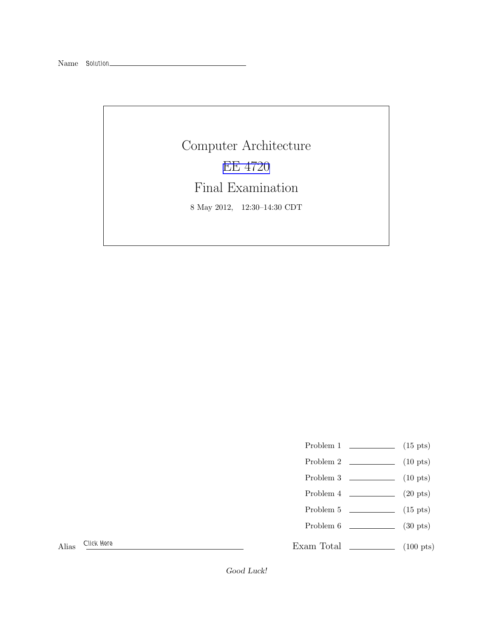Name Solution\_

Computer Architecture [EE 4720](http://www.ece.lsu.edu/ee4720/) Final Examination 8 May 2012, 12:30–14:30 CDT

- Problem 1  $\qquad \qquad$  (15 pts)
- Problem 2 (10 pts)
- Problem  $3 \t\t(10 \text{ pts})$
- Problem  $4 \t\t(20 \text{ pts})$
- Problem  $5 \t\t(15 \text{ pts})$
- Problem 6 (30 pts)

Exam Total (100 pts)

Alias Click Here

Good Luck!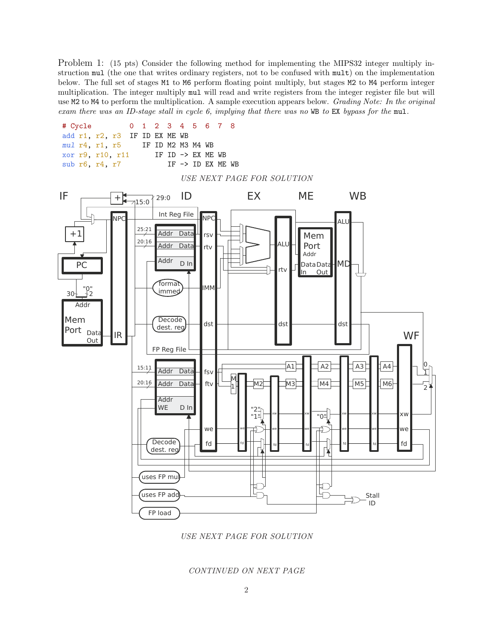Problem 1: (15 pts) Consider the following method for implementing the MIPS32 integer multiply instruction mul (the one that writes ordinary registers, not to be confused with mult) on the implementation below. The full set of stages M1 to M6 perform floating point multiply, but stages M2 to M4 perform integer multiplication. The integer multiply mul will read and write registers from the integer register file but will use M2 to M4 to perform the multiplication. A sample execution appears below. *Grading Note: In the original exam there was an ID-stage stall in cycle 6, implying that there was no* WB *to* EX *bypass for the* mul*.*



*USE NEXT PAGE FOR SOLUTION*

### *CONTINUED ON NEXT PAGE*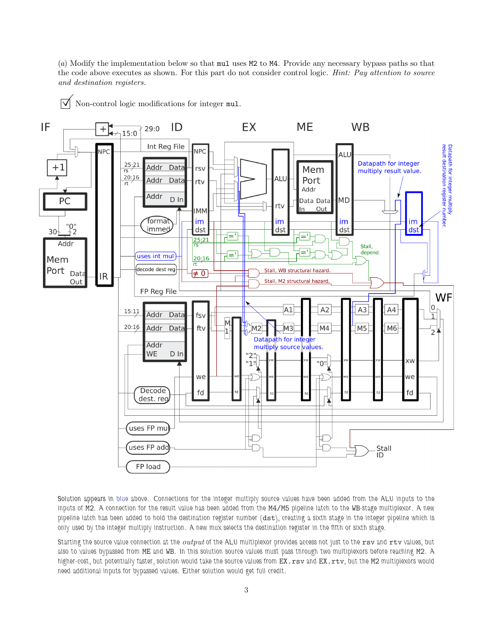(*a*) Modify the implementation below so that mul uses M2 to M4. Provide any necessary bypass paths so that the code above executes as shown. For this part do not consider control logic. *Hint: Pay attention to source and destination registers.*

 $\triangledown$  Non-control logic modifications for integer mul.



Solution appears in blue above. Connections for the integer multiply source values have been added from the ALU inputs to the inputs of M2. A connection for the result value has been added from the M4/M5 pipeline latch to the WB-stage multiplexor. A new pipeline latch has been added to hold the destination register number (dst), creating a sixth stage in the integer pipeline which is only used by the integer multiply instruction. A new mux selects the destination register in the fifth or sixth stage.

Starting the source value connection at the *output* of the ALU multiplexor provides access not just to the rsv and rtv values, but also to values bypassed from ME and WB. In this solution source values must pass through two multiplexors before reaching M2. A higher-cost, but potentially faster, solution would take the source values from EX.rsv and EX.rtv, but the M2 multiplexors would need additional inputs for bypassed values. Either solution would get full credit.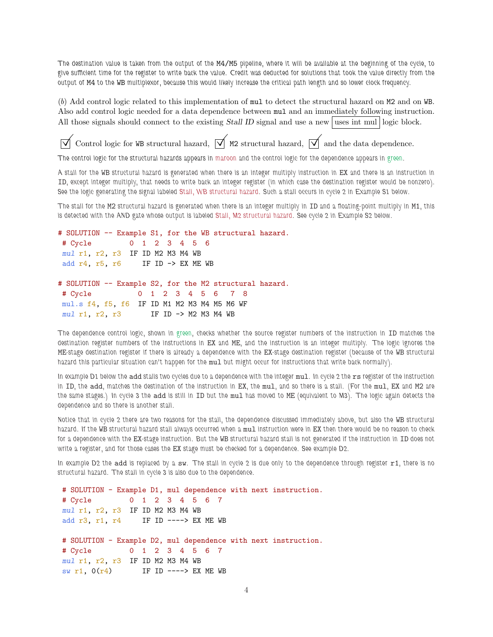The destination value is taken from the output of the M4/M5 pipeline, where it will be available at the beginning of the cycle, to give sufficient time for the register to write back the value. Credit was deducted for solutions that took the value directly from the output of M4 to the WB multiplexor, because this would likely increase the critical path length and so lower clock frequency.

(*b*) Add control logic related to this implementation of mul to detect the structural hazard on M2 and on WB. Also add control logic needed for a data dependence between mul and an immediately following instruction. All those signals should connect to the existing Stall ID signal and use a new uses int mul logic block.

Control logic for WB structural hazard,  $\overline{\vee}$  M2 structural hazard,  $\overline{\vee}$  and the data dependence.

The control logic for the structural hazards appears in maroon and the control logic for the dependence appears in green.

A stall for the WB structural hazard is generated when there is an integer multiply instruction in EX and there is an instruction in ID, except integer multiply, that needs to write back an integer register (in which case the destination register would be nonzero). See the logic generating the signal labeled Stall, WB structural hazard. Such a stall occurs in cycle 2 in Example S1 below.

The stall for the M2 structural hazard is generated when there is an integer multiply in ID and a floating-point multiply in M1, this is detected with the AND gate whose output is labeled Stall, M2 structural hazard. See cycle 2 in Example S2 below.

```
# SOLUTION -- Example S1, for the WB structural hazard.
# Cycle 0 1 2 3 4 5 6
mul r1, r2, r3 IF ID M2 M3 M4 WB
add r4, r5, r6 IF ID \rightarrow EX ME WB
# SOLUTION -- Example S2, for the M2 structural hazard.
# Cycle 0 1 2 3 4 5 6 7 8
mul.s f4, f5, f6 IF ID M1 M2 M3 M4 M5 M6 WF
mul r1, r2, r3 IF ID -> M2 M3 M4 WB
```
The dependence control logic, shown in green, checks whether the source register numbers of the instruction in ID matches the destination register numbers of the instructions in EX and ME, and the instruction is an integer multiply. The logic ignores the ME-stage destination register if there is already a dependence with the EX-stage destination register (because of the WB structural hazard this particular situation can't happen for the mul but might occur for instructions that write back normally).

In example D1 below the add stalls two cycles due to a dependence with the integer mul. In cycle 2 the rs register of the instruction in ID, the add, matches the destination of the instruction in EX, the mul, and so there is a stall. (For the mul, EX and M2 are the same stages.) In cycle 3 the add is still in ID but the mul has moved to ME (equivalent to M3). The logic again detects the dependence and so there is another stall.

Notice that in cycle 2 there are two reasons for the stall, the dependence discussed immediately above, but also the WB structural hazard. If the WB structural hazard stall always occurred when a mul instruction were in EX then there would be no reason to check for a dependence with the EX-stage instruction. But the WB structural hazard stall is not generated if the instruction in ID does not write a register, and for those cases the EX stage must be checked for a dependence. See example D2.

In example D2 the add is replaced by a sw. The stall in cycle 2 is due only to the dependence through register  $r1$ , there is no structural hazard. The stall in cycle 3 is also due to the dependence.

```
# SOLUTION - Example D1, mul dependence with next instruction.
# Cycle 0 1 2 3 4 5 6 7
mul r1, r2, r3 IF ID M2 M3 M4 WB
add r3, r1, r4 IF ID ----> EX ME WB
# SOLUTION - Example D2, mul dependence with next instruction.
# Cycle 0 1 2 3 4 5 6 7
mul r1, r2, r3 IF ID M2 M3 M4 WB
sw r1, 0(r4) IF ID ----> EX ME WB
```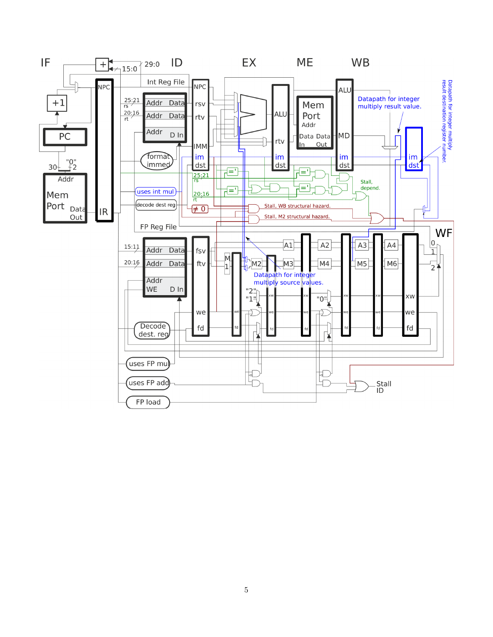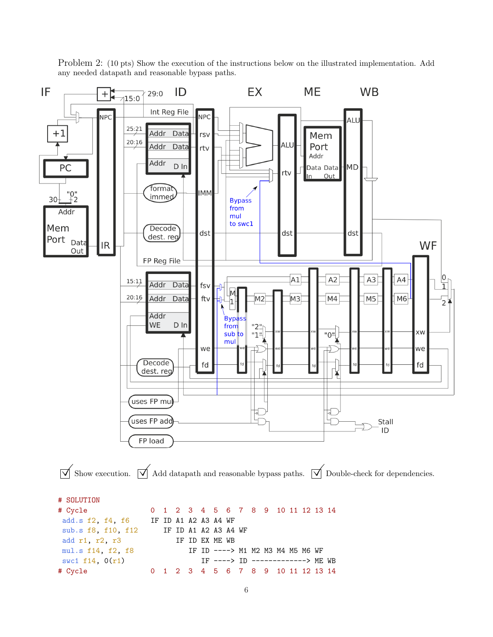

Problem 2: (10 pts) Show the execution of the instructions below on the illustrated implementation. Add any needed datapath and reasonable bypass paths.

6

mul.s f14, f2, f8 IF ID ----> M1 M2 M3 M4 M5 M6 WF swc1 f14, 0(r1) IF ----> ID -------------> ME WB # Cycle 0 1 2 3 4 5 6 7 8 9 10 11 12 13 14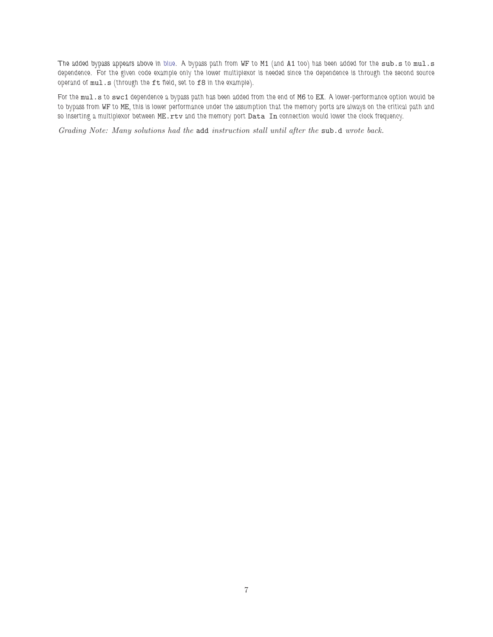The added bypass appears above in blue. A bypass path from WF to M1 (and A1 too) has been added for the sub.s to mul.s dependence. For the given code example only the lower multiplexor is needed since the dependence is through the second source operand of mul.s (through the ft field, set to f8 in the example).

For the mul.s to swc1 dependence a bypass path has been added from the end of M6 to EX. A lower-performance option would be to bypass from WF to ME, this is lower performance under the assumption that the memory ports are always on the critical path and so inserting a multiplexor between ME.rtv and the memory port Data In connection would lower the clock frequency.

*Grading Note: Many solutions had the* add *instruction stall until after the* sub.d *wrote back.*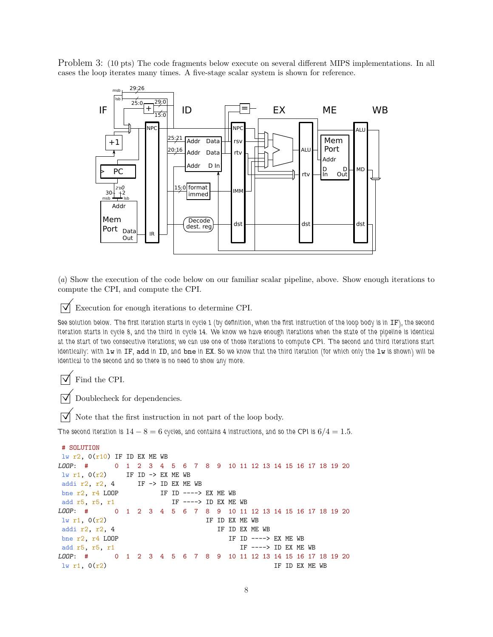Problem 3: (10 pts) The code fragments below execute on several different MIPS implementations. In all cases the loop iterates many times. A five-stage scalar system is shown for reference.



(*a*) Show the execution of the code below on our familiar scalar pipeline, above. Show enough iterations to compute the CPI, and compute the CPI.

 $\vert \sqrt{\vert}$  Execution for enough iterations to determine CPI.

See solution below. The first iteration starts in cycle 1 (by definition, when the first instruction of the loop body is in IF), the second iteration starts in cycle 8, and the third in cycle 14. We know we have enough iterations when the state of the pipeline is identical at the start of two consecutive iterations; we can use one of those iterations to compute CPI. The second and third iterations start identically: with  $1w$  in  $IF$ , add in  $ID$ , and bne in EX. So we know that the third iteration (for which only the  $1w$  is shown) will be identical to the second and so there is no need to show any more.

 $\triangledown$  Find the CPI.

 $\triangledown$  Doublecheck for dependencies.

 $\triangledown$  Note that the first instruction in not part of the loop body.

The second iteration is  $14 - 8 = 6$  cycles, and contains 4 instructions, and so the CPI is  $6/4 = 1.5$ .

```
# SOLUTION
lw r2, O(r10) IF ID EX ME WB
LOOP: # 0 1 2 3 4 5 6 7 8 9 10 11 12 13 14 15 16 17 18 19 20
lw r1, 0(r2) IF ID -> EX ME WB
addi r2, r2, 4 IF \rightarrow ID EX ME WB
bne r2, r4 LOOP IF ID ----> EX ME WB
add r5, r5, r1 IF ----> ID EX ME WB
LOOP: # 0 1 2 3 4 5 6 7 8 9 10 11 12 13 14 15 16 17 18 19 20
\ln r1, 0(r2) IF ID EX ME WB
addi r2, r2, 4 IF ID EX ME WB
bne r2, r4 LOOP IF ID ----> EX ME WB
add r5, r5, r1 IF ----> ID EX ME WB
LOOP: # 0 1 2 3 4 5 6 7 8 9 10 11 12 13 14 15 16 17 18 19 20
\frac{1}{W} r1, 0(r2) IF ID EX ME WB
```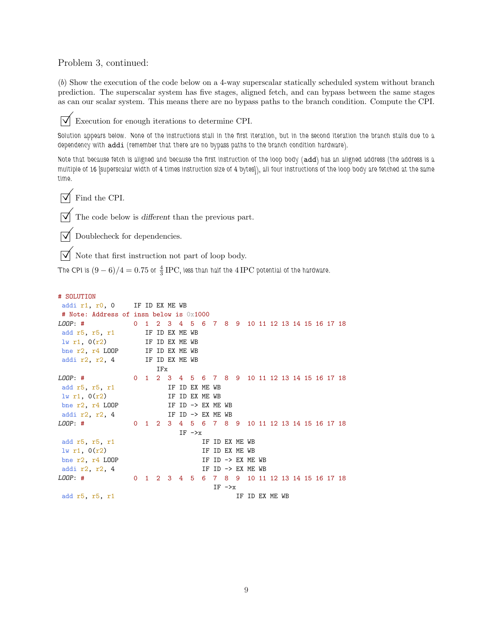## Problem 3, continued:

(*b*) Show the execution of the code below on a 4-way superscalar statically scheduled system without branch prediction. The superscalar system has five stages, aligned fetch, and can bypass between the same stages as can our scalar system. This means there are no bypass paths to the branch condition. Compute the CPI.

 $\overrightarrow{v}$  Execution for enough iterations to determine CPI.

Solution appears below. None of the instructions stall in the first iteration, but in the second iteration the branch stalls due to a dependency with addi (remember that there are no bypass paths to the branch condition hardware).

Note that because fetch is aligned and because the first instruction of the loop body (add) has an aligned address (the address is a multiple of 16 [superscalar width of 4 times instruction size of 4 bytes]), all four instructions of the loop body are fetched at the same time.

 $\sqrt{\phantom{a}}$  Find the CPI.

 $\overrightarrow{\mathcal{M}}$  The code below is different than the previous part.

 $\boxed{\bigtriangledown}$  Doublecheck for dependencies.

 $\overrightarrow{\mathsf{N}}$  Note that first instruction not part of loop body.

The CPI is  $(9-6)/4=0.75$  or  $\frac{4}{3}$  IPC, less than half the  $4\,\mathrm{IPC}$  potential of the hardware.

### # SOLUTION

| addi r1, r0, 0 IF ID EX ME WB                             |                                                |     |  |              |                   |                |                              |                |  |  |  |
|-----------------------------------------------------------|------------------------------------------------|-----|--|--------------|-------------------|----------------|------------------------------|----------------|--|--|--|
| # Note: Address of insn below is 0x1000                   |                                                |     |  |              |                   |                |                              |                |  |  |  |
| 0 1 2 3 4 5 6 7 8 9 10 11 12 13 14 15 16 17 18<br>LOOP: # |                                                |     |  |              |                   |                |                              |                |  |  |  |
| add r5, r5, r1 IF ID EX ME WB                             |                                                |     |  |              |                   |                |                              |                |  |  |  |
| $1w r1$ , $0(r2)$ IF ID EX ME WB                          |                                                |     |  |              |                   |                |                              |                |  |  |  |
| bne r2, r4 LOOP IF ID EX ME WB                            |                                                |     |  |              |                   |                |                              |                |  |  |  |
| IF ID EX ME WB<br>addi r2, r2, 4                          |                                                |     |  |              |                   |                |                              |                |  |  |  |
|                                                           |                                                | IFx |  |              |                   |                |                              |                |  |  |  |
| $LOOP:$ #                                                 | 0 1 2 3 4 5 6 7 8 9 10 11 12 13 14 15 16 17 18 |     |  |              |                   |                |                              |                |  |  |  |
| add r5, r5, r1                                            |                                                |     |  |              | IF ID EX ME WB    |                |                              |                |  |  |  |
| $1w$ r1, $0(r2)$                                          |                                                |     |  |              | IF ID EX ME WB    |                |                              |                |  |  |  |
| bne $r2$ , $r4$ LOOP                                      | IF ID $\rightarrow$ EX ME WB                   |     |  |              |                   |                |                              |                |  |  |  |
| addi r2, r2, 4                                            |                                                |     |  |              | IF ID -> EX ME WB |                |                              |                |  |  |  |
| LOOP: #                                                   | 0 1 2 3 4 5 6 7 8 9 10 11 12 13 14 15 16 17 18 |     |  |              |                   |                |                              |                |  |  |  |
|                                                           |                                                |     |  | $IF -\geq x$ |                   |                |                              |                |  |  |  |
| add r5, r5, r1                                            |                                                |     |  |              |                   | IF ID EX ME WB |                              |                |  |  |  |
| 1w r1, 0(r2)                                              |                                                |     |  |              |                   | IF ID EX ME WB |                              |                |  |  |  |
| bne $r2$ , $r4$ LOOP                                      |                                                |     |  |              |                   |                | IF ID $\rightarrow$ EX ME WB |                |  |  |  |
| addi r2, r2, 4                                            |                                                |     |  |              |                   |                | IF ID $\rightarrow$ EX ME WB |                |  |  |  |
| LOOP: #                                                   | 0 1 2 3 4 5 6 7 8 9 10 11 12 13 14 15 16 17 18 |     |  |              |                   |                |                              |                |  |  |  |
|                                                           |                                                |     |  |              |                   | $IF ->x$       |                              |                |  |  |  |
| add r5, r5, r1                                            |                                                |     |  |              |                   |                |                              | IF ID EX ME WB |  |  |  |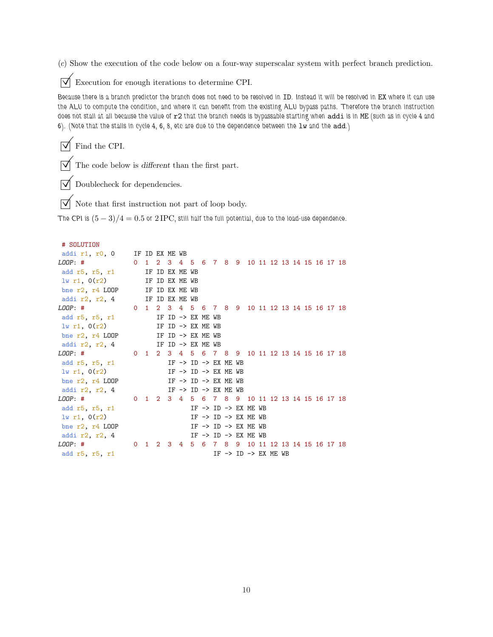(*c*) Show the execution of the code below on a four-way superscalar system with perfect branch prediction.

 $\triangledown$  Execution for enough iterations to determine CPI.

Because there is a branch predictor the branch does not need to be resolved in ID. Instead it will be resolved in EX where it can use the ALU to compute the condition, and where it can benefit from the existing ALU bypass paths. Therefore the branch instruction does not stall at all because the value of r2 that the branch needs is bypassable starting when addi is in ME (such as in cycle 4 and 6). (Note that the stalls in cycle 4, 6, 8, etc are due to the dependence between the lw and the add.)

 $\triangledown$  Find the CPI.

 $\sqrt{\phantom{a}}$  The code below is different than the first part.

 $\boxed{\bigtriangledown}$  Doublecheck for dependencies.

 $\overrightarrow{V}$  Note that first instruction not part of loop body.

The CPI is  $(5-3)/4 = 0.5$  or  $2 \text{IPC}$ , still half the full potential, due to the load-use dependence.

```
# SOLUTION
```

| addi r1, r0, 0 IF ID EX ME WB                              |                |  |  |  |                                                |  |  |  |  |  |
|------------------------------------------------------------|----------------|--|--|--|------------------------------------------------|--|--|--|--|--|
| LOOP: # 0 1 2 3 4 5 6 7 8 9 10 11 12 13 14 15 16 17 18     |                |  |  |  |                                                |  |  |  |  |  |
| add r5, r5, r1 IF ID EX ME WB                              |                |  |  |  |                                                |  |  |  |  |  |
| $1w$ r1, $0(r2)$                                           | IF ID EX ME WB |  |  |  |                                                |  |  |  |  |  |
| bne $r2$ , $r4$ LOOP IF ID EX ME WB                        |                |  |  |  |                                                |  |  |  |  |  |
| addi $r2$ , $r2$ , 4 IF ID EX ME WB                        |                |  |  |  |                                                |  |  |  |  |  |
| LOOP: # 0 1 2 3 4 5 6 7 8 9 10 11 12 13 14 15 16 17 18     |                |  |  |  |                                                |  |  |  |  |  |
| add $r5$ , $r5$ , $r1$ IF ID $\rightarrow$ EX ME WB        |                |  |  |  |                                                |  |  |  |  |  |
| $1w r1$ , $0(r2)$ IF ID -> EX ME WB                        |                |  |  |  |                                                |  |  |  |  |  |
| bne $r2$ , $r4$ LOOP IF ID $\rightarrow$ EX ME WB          |                |  |  |  |                                                |  |  |  |  |  |
| addi $r2$ , $r2$ , 4 IF ID -> EX ME WB                     |                |  |  |  |                                                |  |  |  |  |  |
| $LOOP:$ #                                                  |                |  |  |  | 0 1 2 3 4 5 6 7 8 9 10 11 12 13 14 15 16 17 18 |  |  |  |  |  |
| add $r5$ , $r5$ , $r1$                                     |                |  |  |  | IF $\rightarrow$ ID $\rightarrow$ EX ME WB     |  |  |  |  |  |
| 1w r1, 0(r2)                                               |                |  |  |  | IF $\rightarrow$ ID $\rightarrow$ EX ME WB     |  |  |  |  |  |
| bne r2, r4 LOOP IF $\rightarrow$ ID $\rightarrow$ EX ME WB |                |  |  |  |                                                |  |  |  |  |  |
| addi $r2, r2, 4$                                           |                |  |  |  | $IF \rightarrow ID \rightarrow EX ME WB$       |  |  |  |  |  |
| LOOP: #                                                    |                |  |  |  | 0 1 2 3 4 5 6 7 8 9 10 11 12 13 14 15 16 17 18 |  |  |  |  |  |
| add r5, r5, r1                                             |                |  |  |  | IF $\rightarrow$ ID $\rightarrow$ EX ME WB     |  |  |  |  |  |
| lw r1, 0(r2)                                               |                |  |  |  | IF $\rightarrow$ ID $\rightarrow$ EX ME WB     |  |  |  |  |  |
| bne $r2$ , $r4$ LOOP                                       |                |  |  |  | IF $\rightarrow$ ID $\rightarrow$ EX ME WB     |  |  |  |  |  |
| addi r2, r2, 4                                             |                |  |  |  | IF $\rightarrow$ ID $\rightarrow$ EX ME WB     |  |  |  |  |  |
| LOOP: #                                                    |                |  |  |  | 0 1 2 3 4 5 6 7 8 9 10 11 12 13 14 15 16 17 18 |  |  |  |  |  |
| add r5, r5, r1                                             |                |  |  |  | IF $\rightarrow$ ID $\rightarrow$ EX ME WB     |  |  |  |  |  |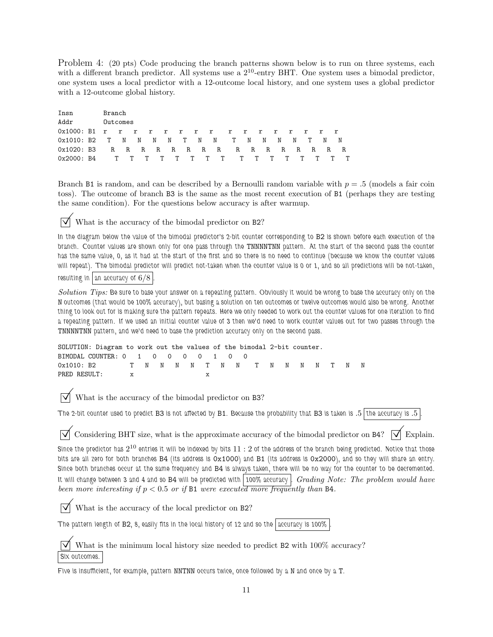Problem 4: (20 pts) Code producing the branch patterns shown below is to run on three systems, each with a different branch predictor. All systems use a  $2^{10}$ -entry BHT. One system uses a bimodal predictor, one system uses a local predictor with a 12-outcome local history, and one system uses a global predictor with a 12-outcome global history.

| Insn                                   | Branch |          |  |  |  |  |      |   |   |       |       |  |
|----------------------------------------|--------|----------|--|--|--|--|------|---|---|-------|-------|--|
| Addr                                   |        | Outcomes |  |  |  |  |      |   |   |       |       |  |
| 0x1000: B1 r r r r r r r r r           |        |          |  |  |  |  | rrrr |   |   | r r r |       |  |
| $0x1010: B2$ T N N N N T N N T N       |        |          |  |  |  |  | N    | N | N |       | T N N |  |
| 0x1020: B3 R R R R R R R R R R R R R R |        |          |  |  |  |  |      |   |   |       | R R R |  |
| 0x2000: B4 T T T T T T T T T T T T T   |        |          |  |  |  |  |      |   | T | T.    | T     |  |

Branch B1 is random, and can be described by a Bernoulli random variable with  $p = 0.5$  (models a fair coin toss). The outcome of branch B3 is the same as the most recent execution of B1 (perhaps they are testing the same condition). For the questions below accuracy is after warmup.

 $\vert \sqrt{\vert}$  What is the accuracy of the bimodal predictor on B2?

In the diagram below the value of the bimodal predictor's 2-bit counter corresponding to B2 is shown before each execution of the branch. Counter values are shown only for one pass through the TNNNNTNN pattern. At the start of the second pass the counter has the same value, 0, as it had at the start of the first and so there is no need to continue (because we know the counter values will repeat). The bimodal predictor will predict not-taken when the counter value is 0 or 1, and so all predictions will be not-taken, resulting in  $\vert$  an accuracy of  $6/8$ 

*Solution Tips:* Be sure to base your answer on a repeating pattern. Obviously it would be wrong to base the accuracy only on the N outcomes (that would be 100% accuracy), but basing a solution on ten outcomes or twelve outcomes would also be wrong. Another thing to look out for is making sure the pattern repeats. Here we only needed to work out the counter values for one iteration to find a repeating pattern. If we used an initial counter value of 3 then we'd need to work counter values out for two passes through the TNNNNTNN pattern, and we'd need to base the prediction accuracy only on the second pass.

```
SOLUTION: Diagram to work out the values of the bimodal 2-bit counter.
BIMODAL COUNTER: 0 1 0 0 0 0 1 0 0
0x1010: B2 T N N N N T N N T N N N N T N N
PRED RESULT: x x x
```
What is the accuracy of the bimodal predictor on B3?

The 2-bit counter used to predict B3 is not affected by B1. Because the probability that B3 is taken is  $.5$  the accuracy is  $.5$ 

 $\triangledown$  Considering BHT size, what is the approximate accuracy of the bimodal predictor on B4?  $\triangledown$  Explain.

Since the predictor has  $2^{10}$  entries it will be indexed by bits  $11:2$  of the address of the branch being predicted. Notice that those bits are all zero for both branches B4 (its address is 0x1000) and B1 (its address is 0x2000), and so they will share an entry. Since both branches occur at the same frequency and B4 is always taken, there will be no way for the counter to be decremented. It will change between 3 and 4 and so B4 will be predicted with 100% accuracy . *Grading Note: The problem would have been more interesting if* p < 0.5 *or if* B1 *were executed more frequently than* B4*.*

 $\triangledown$  What is the accuracy of the local predictor on B2?

The pattern length of B2, 8, easily fits in the local history of 12 and so the accuracy is 100%

What is the minimum local history size needed to predict B2 with  $100\%$  accuracy? Six outcomes.

Five is insufficient, for example, pattern NNTNN occurs twice, once followed by a N and once by a T.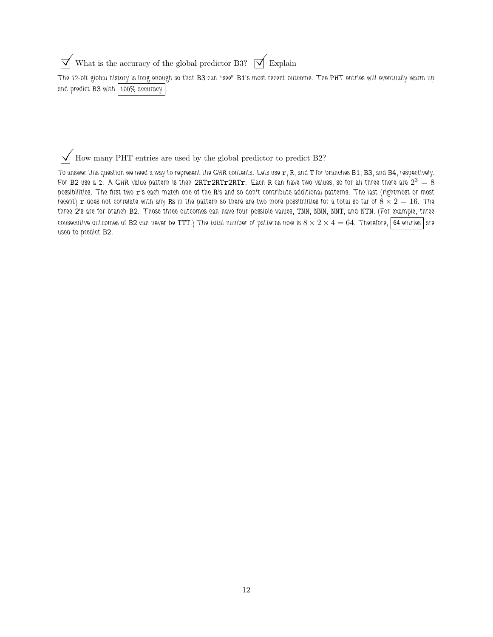$\overrightarrow{\mathcal{A}}$  What is the accuracy of the global predictor B3?  $\overrightarrow{\mathcal{A}}$  Explain

The 12-bit global history is long enough so that B3 can "see" B1's most recent outcome. The PHT entries will eventually warm up and predict B3 with 100% accuracy

 $\vert \overrightarrow{\bigvee} \vert$  How many PHT entries are used by the global predictor to predict B2?

To answer this question we need a way to represent the GHR contents. Lets use  $r$ , R, and T for branches B1, B3, and B4, respectively. For B2 use a 2. A GHR value pattern is then 2RTr2RTr2RTr. Each R can have two values, so for all three there are  $2^3=\dot 8$ possibilities. The first two r's each match one of the R's and so don't contribute additional patterns. The last (rightmost or most recent) r does not correlate with any Rs in the pattern so there are two more possibilities for a total so far of  $8 \times 2 = 16$ . The three 2's are for branch B2. Those three outcomes can have four possible values, TNN, NNN, NNT, and NTN. (For example, three consecutive outcomes of B2 can never be TTT.) The total number of patterns now is  $8 \times 2 \times 4 = 64$ . Therefore, 64 entries are used to predict B2.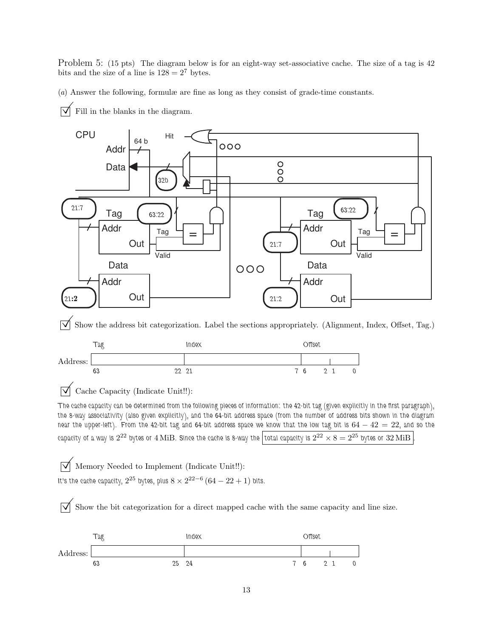Problem 5: (15 pts) The diagram below is for an eight-way set-associative cache. The size of a tag is 42 bits and the size of a line is  $128 = 2^7$  bytes.

(*a*) Answer the following, formulæ are fine as long as they consist of grade-time constants.

 $\triangledown$  Fill in the blanks in the diagram.

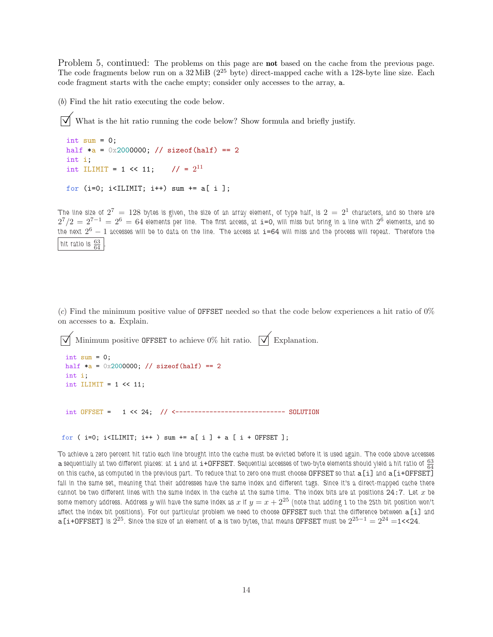Problem 5, continued: The problems on this page are **not** based on the cache from the previous page. The code fragments below run on a  $32 \text{ MiB}$  ( $2^{25}$  byte) direct-mapped cache with a 128-byte line size. Each code fragment starts with the cache empty; consider only accesses to the array, a.

(*b*) Find the hit ratio executing the code below.

 $\triangledown$  What is the hit ratio running the code below? Show formula and briefly justify.

```
int sum = 0;
half *a = 0x2000000; // sizeof(half) == 2
int i;
int ILIMIT = 1 << 11; // = 2^{11}for (i=0; i<IILMIT; i++) sum += a[i];
```
The line size of  $2^7\,=\,128$  bytes is given, the size of an array element, of type half, is  $2\,=\,2^1$  characters, and so there are  $2^7/2=\rm 2^{7-1}\,=\,2^6\,=\,64$  elements per line. The first access, at  $\it i=0,$  will miss but bring in a line with  $2^6$  elements, and so the next  $2^6-1$  accesses will be to data on the line. The access at  $\mathtt{i}$ =64 will miss and the process will repeat. Therefore the hit ratio is  $\frac{63}{64}$ .

(*c*) Find the minimum positive value of OFFSET needed so that the code below experiences a hit ratio of 0% on accesses to a. Explain.

```
Minimum positive OFFSET to achieve 0% hit ratio. \overrightarrow{\mathsf{M}} Explanation.
int sum = 0;
half *a = 0x2000000; // sizeof(half) == 2
int i;
int ILIMIT = 1 \leq 11;
int OFFSET = 1 << 24; // <----------------------------- SOLUTION
```

```
for ( i=0; i<ILIMIT; i++ ) sum += a[i] + a[i + 0FFSET ];
```
To achieve a zero percent hit ratio each line brought into the cache must be evicted before it is used again. The code above accesses a sequentially at two different places: at i and at i+OFFSET. Sequential accesses of two-byte elements should yield a hit ratio of  $\frac{63}{64}$ on this cache, as computed in the previous part. To reduce that to zero one must choose OFFSET so that a [i] and a [i+OFFSET] fall in the same set, meaning that their addresses have the same index and different tags. Since it's a direct-mapped cache there cannot be two different lines with the same index in the cache at the same time. The index bits are at positions  $24:7$ . Let  $x$  be some memory address. Address y will have the same index as x if  $y = x + 2^{25}$  (note that adding 1 to the 25th bit position won't affect the index bit positions). For our particular problem we need to choose OFFSET such that the difference between a[i] and  $\mathtt{a[t+OFFSET]}$  is  $2^{25}$ . Since the size of an element of  $\mathtt{a}$  is two bytes, that means <code>OFFSET</code> must be  $2^{25-1}=2^{24}=\!\!1$ <<24.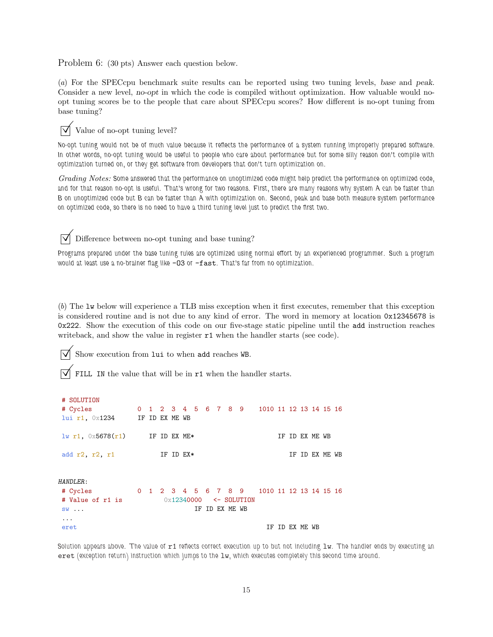Problem 6: (30 pts) Answer each question below.

(*a*) For the SPECcpu benchmark suite results can be reported using two tuning levels, base and peak. Consider a new level, no-opt in which the code is compiled without optimization. How valuable would noopt tuning scores be to the people that care about SPECcpu scores? How different is no-opt tuning from base tuning?

# $\triangledown$  Value of no-opt tuning level?

No-opt tuning would not be of much value because it reflects the performance of a system running improperly prepared software. In other words, no-opt tuning would be useful to people who care about performance but for some silly reason don't compile with optimization turned on, or they get software from developers that don't turn optimization on.

*Grading Notes:* Some answered that the performance on unoptimized code might help predict the performance on optimized code, and for that reason no-opt is useful. That's wrong for two reasons. First, there are many reasons why system A can be faster than B on unoptimized code but B can be faster than A with optimization on. Second, peak and base both measure system performance on optimized code, so there is no need to have a third tuning level just to predict the first two.

 $\triangledown$  Difference between no-opt tuning and base tuning?

Programs prepared under the base tuning rules are optimized using normal effort by an experienced programmer. Such a program would at least use a no-brainer flag like  $-03$  or  $-fast$ . That's far from no optimization.

(*b*) The lw below will experience a TLB miss exception when it first executes, remember that this exception is considered routine and is not due to any kind of error. The word in memory at location 0x12345678 is 0x222. Show the execution of this code on our five-stage static pipeline until the add instruction reaches writeback, and show the value in register  $r1$  when the handler starts (see code).

Show execution from lui to when add reaches WB.

 $\mu$  COLUTING

FILL IN the value that will be in  $r1$  when the handler starts.

| # SULUIIUN                                          |  |             |  |  |                |                                            |  |                |                |  |  |
|-----------------------------------------------------|--|-------------|--|--|----------------|--------------------------------------------|--|----------------|----------------|--|--|
| # Cycles 0 1 2 3 4 5 6 7 8 9 1010 11 12 13 14 15 16 |  |             |  |  |                |                                            |  |                |                |  |  |
| lui r1, 0x1234 IF ID EX ME WB                       |  |             |  |  |                |                                            |  |                |                |  |  |
| $\frac{1}{w}$ r1, $0 \times 5678(r1)$ IF ID EX ME*  |  |             |  |  |                |                                            |  | IF ID EX ME WB |                |  |  |
| add $r2$ , $r2$ , $r1$                              |  | IF ID $EX*$ |  |  |                |                                            |  |                | IF ID EX ME WB |  |  |
|                                                     |  |             |  |  |                |                                            |  |                |                |  |  |
| <i>HANDLER</i> :                                    |  |             |  |  |                |                                            |  |                |                |  |  |
| # Cycles                                            |  |             |  |  |                | 0 1 2 3 4 5 6 7 8 9 1010 11 12 13 14 15 16 |  |                |                |  |  |
| # Value of r1 is                                    |  |             |  |  |                | $0\times12340000$ <- SOLUTION              |  |                |                |  |  |
| $SW \ldots$                                         |  |             |  |  | IF ID EX ME WB |                                            |  |                |                |  |  |
| $\cdots$                                            |  |             |  |  |                |                                            |  |                |                |  |  |
| eret                                                |  |             |  |  |                |                                            |  | IF ID EX ME WB |                |  |  |

Solution appears above. The value of  $r1$  reflects correct execution up to but not including  $1w$ . The handler ends by executing an  $eret$  (exception return) instruction which jumps to the  $1w$ , which executes completely this second time around.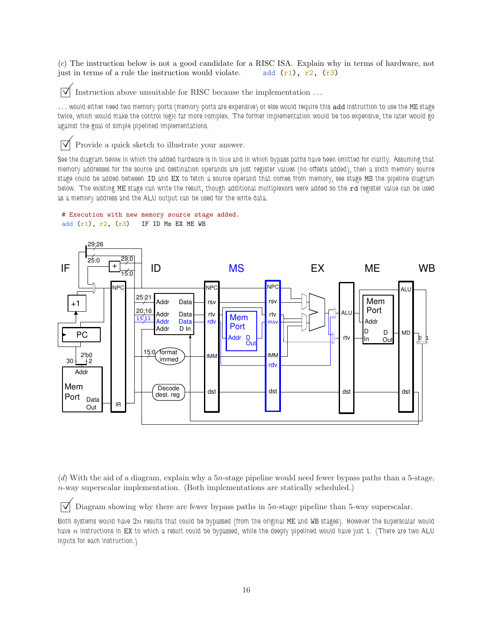(*c*) The instruction below is not a good candidate for a RISC ISA. Explain why in terms of hardware, not just in terms of a rule the instruction would violate. add  $(r1)$ ,  $r2$ ,  $(r3)$ 

 $\triangledown$  Instruction above unsuitable for RISC because the implementation ...

... would either need two memory ports (memory ports are expensive) or else would require this add instruction to use the ME stage twice, which would make the control logic far more complex. The former implementation would be too expensive, the later would go against the goal of simple pipelined implementations.

 $\triangledown$  Provide a quick sketch to illustrate your answer.

See the diagram below in which the added hardware is in blue and in which bypass paths have been omitted for clarity. Assuming that memory addresses for the source and destination operands are just register values (no offsets added), then a sixth memory source stage could be added between ID and EX to fetch a source operand that comes from memory, see stage MS the pipeline diagram below. The existing ME stage can write the result, though additional multiplexors were added so the rd register value can be used as a memory address and the ALU output can be used for the write data.

#### # Execution with new memory source stage added.

```
add (r1), r2, (r3) IF ID Ms EX ME WB
```


(*d*) With the aid of a diagram, explain why a 5n-stage pipeline would need fewer bypass paths than a 5-stage, n-way superscalar implementation. (Both implementations are statically scheduled.)

 $\vert \sqrt{\vert}$  Diagram showing why there are fewer bypass paths in 5n-stage pipeline than 5-way superscalar.

Both systems would have  $2n$  results that could be bypassed (from the original ME and WB stages). However the superscalar would have  $n$  instructions in EX to which a result could be bypassed, while the deeply pipelined would have just 1. (There are two ALU inputs for each instruction.)